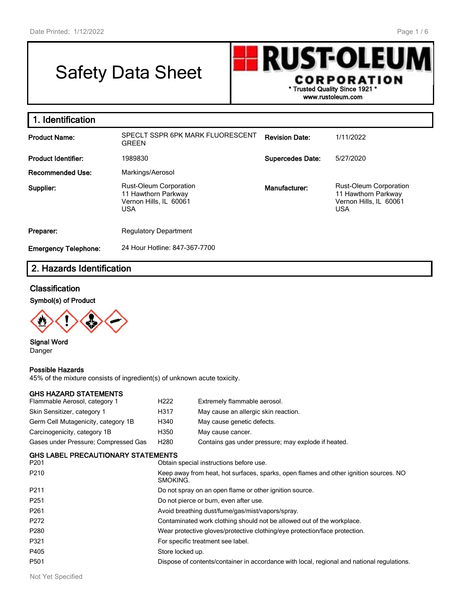# Safety Data Sheet



| 1. Identification           |                                                                                              |                         |                                                                                              |
|-----------------------------|----------------------------------------------------------------------------------------------|-------------------------|----------------------------------------------------------------------------------------------|
| <b>Product Name:</b>        | SPECLT SSPR 6PK MARK FLUORESCENT<br><b>GREEN</b>                                             | <b>Revision Date:</b>   | 1/11/2022                                                                                    |
| <b>Product Identifier:</b>  | 1989830                                                                                      | <b>Supercedes Date:</b> | 5/27/2020                                                                                    |
| <b>Recommended Use:</b>     | Markings/Aerosol                                                                             |                         |                                                                                              |
| Supplier:                   | <b>Rust-Oleum Corporation</b><br>11 Hawthorn Parkway<br>Vernon Hills, IL 60061<br><b>USA</b> | Manufacturer:           | <b>Rust-Oleum Corporation</b><br>11 Hawthorn Parkway<br>Vernon Hills, IL 60061<br><b>USA</b> |
| Preparer:                   | <b>Regulatory Department</b>                                                                 |                         |                                                                                              |
| <b>Emergency Telephone:</b> | 24 Hour Hotline: 847-367-7700                                                                |                         |                                                                                              |

# **2. Hazards Identification**

#### **Classification**

**Symbol(s) of Product**



**Signal Word** Danger

#### **Possible Hazards**

45% of the mixture consists of ingredient(s) of unknown acute toxicity.

#### **GHS HAZARD STATEMENTS**

| Flammable Aerosol, category 1        | H <sub>222</sub> | Extremely flammable aerosol.                        |
|--------------------------------------|------------------|-----------------------------------------------------|
| Skin Sensitizer, category 1          | H317             | May cause an allergic skin reaction.                |
| Germ Cell Mutagenicity, category 1B  | H340             | May cause genetic defects.                          |
| Carcinogenicity, category 1B         | H350             | May cause cancer.                                   |
| Gases under Pressure; Compressed Gas | H280             | Contains gas under pressure; may explode if heated. |

|      | <b>GHS LABEL PRECAUTIONARY STATEMENTS</b> |                      |
|------|-------------------------------------------|----------------------|
| DO A |                                           | $\sim$ $\sim$ $\sim$ |

| 909 CAPLET INCOAPTIONALLE STATEMENTS |                                                                                                   |
|--------------------------------------|---------------------------------------------------------------------------------------------------|
| P <sub>201</sub>                     | Obtain special instructions before use.                                                           |
| P <sub>210</sub>                     | Keep away from heat, hot surfaces, sparks, open flames and other ignition sources. NO<br>SMOKING. |
| P211                                 | Do not spray on an open flame or other ignition source.                                           |
| P <sub>251</sub>                     | Do not pierce or burn, even after use.                                                            |
| P <sub>261</sub>                     | Avoid breathing dust/fume/gas/mist/vapors/spray.                                                  |
| P272                                 | Contaminated work clothing should not be allowed out of the workplace.                            |
| P <sub>280</sub>                     | Wear protective gloves/protective clothing/eye protection/face protection.                        |
| P321                                 | For specific treatment see label.                                                                 |
| P405                                 | Store locked up.                                                                                  |
| P501                                 | Dispose of contents/container in accordance with local, regional and national regulations.        |
|                                      |                                                                                                   |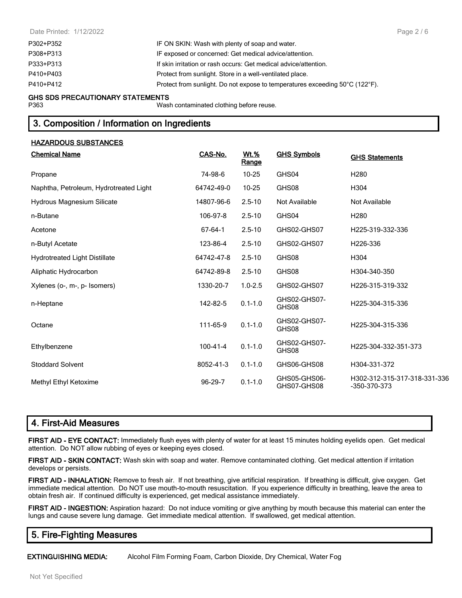| P302+P352 | IF ON SKIN: Wash with plenty of soap and water.                              |
|-----------|------------------------------------------------------------------------------|
| P308+P313 | IF exposed or concerned: Get medical advice/attention.                       |
| P333+P313 | If skin irritation or rash occurs: Get medical advice/attention.             |
| P410+P403 | Protect from sunlight. Store in a well-ventilated place.                     |
| P410+P412 | Protect from sunlight. Do not expose to temperatures exceeding 50°C (122°F). |
|           |                                                                              |

#### **GHS SDS PRECAUTIONARY STATEMENTS**

P363 Wash contaminated clothing before reuse.

# **3. Composition / Information on Ingredients**

#### **HAZARDOUS SUBSTANCES**

| <b>Chemical Name</b>                   | CAS-No.        | Wt.%<br><u>Range</u> | <b>GHS Symbols</b>          | <b>GHS Statements</b>                        |
|----------------------------------------|----------------|----------------------|-----------------------------|----------------------------------------------|
| Propane                                | 74-98-6        | $10 - 25$            | GHS04                       | H <sub>280</sub>                             |
| Naphtha, Petroleum, Hydrotreated Light | 64742-49-0     | $10 - 25$            | GHS08                       | H304                                         |
| Hydrous Magnesium Silicate             | 14807-96-6     | $2.5 - 10$           | Not Available               | Not Available                                |
| n-Butane                               | 106-97-8       | $2.5 - 10$           | GHS04                       | H <sub>280</sub>                             |
| Acetone                                | 67-64-1        | $2.5 - 10$           | GHS02-GHS07                 | H225-319-332-336                             |
| n-Butyl Acetate                        | 123-86-4       | $2.5 - 10$           | GHS02-GHS07                 | H226-336                                     |
| <b>Hydrotreated Light Distillate</b>   | 64742-47-8     | $2.5 - 10$           | GHS08                       | H304                                         |
| Aliphatic Hydrocarbon                  | 64742-89-8     | $2.5 - 10$           | GHS08                       | H304-340-350                                 |
| Xylenes (o-, m-, p- Isomers)           | 1330-20-7      | $1.0 - 2.5$          | GHS02-GHS07                 | H226-315-319-332                             |
| n-Heptane                              | 142-82-5       | $0.1 - 1.0$          | GHS02-GHS07-<br>GHS08       | H225-304-315-336                             |
| Octane                                 | 111-65-9       | $0.1 - 1.0$          | GHS02-GHS07-<br>GHS08       | H225-304-315-336                             |
| Ethylbenzene                           | $100 - 41 - 4$ | $0.1 - 1.0$          | GHS02-GHS07-<br>GHS08       | H225-304-332-351-373                         |
| <b>Stoddard Solvent</b>                | 8052-41-3      | $0.1 - 1.0$          | GHS06-GHS08                 | H304-331-372                                 |
| Methyl Ethyl Ketoxime                  | 96-29-7        | $0.1 - 1.0$          | GHS05-GHS06-<br>GHS07-GHS08 | H302-312-315-317-318-331-336<br>-350-370-373 |

# **4. First-Aid Measures**

**FIRST AID - EYE CONTACT:** Immediately flush eyes with plenty of water for at least 15 minutes holding eyelids open. Get medical attention. Do NOT allow rubbing of eyes or keeping eyes closed.

**FIRST AID - SKIN CONTACT:** Wash skin with soap and water. Remove contaminated clothing. Get medical attention if irritation develops or persists.

**FIRST AID - INHALATION:** Remove to fresh air. If not breathing, give artificial respiration. If breathing is difficult, give oxygen. Get immediate medical attention. Do NOT use mouth-to-mouth resuscitation. If you experience difficulty in breathing, leave the area to obtain fresh air. If continued difficulty is experienced, get medical assistance immediately.

**FIRST AID - INGESTION:** Aspiration hazard: Do not induce vomiting or give anything by mouth because this material can enter the lungs and cause severe lung damage. Get immediate medical attention. If swallowed, get medical attention.

# **5. Fire-Fighting Measures**

**EXTINGUISHING MEDIA:** Alcohol Film Forming Foam, Carbon Dioxide, Dry Chemical, Water Fog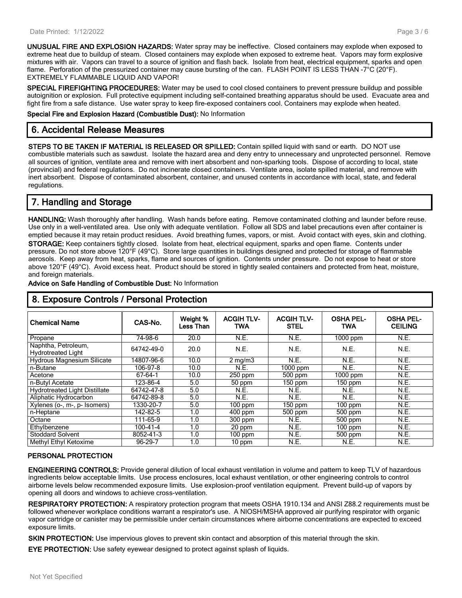**UNUSUAL FIRE AND EXPLOSION HAZARDS:** Water spray may be ineffective. Closed containers may explode when exposed to extreme heat due to buildup of steam. Closed containers may explode when exposed to extreme heat. Vapors may form explosive mixtures with air. Vapors can travel to a source of ignition and flash back. Isolate from heat, electrical equipment, sparks and open flame. Perforation of the pressurized container may cause bursting of the can. FLASH POINT IS LESS THAN -7°C (20°F). EXTREMELY FLAMMABLE LIQUID AND VAPOR!

**SPECIAL FIREFIGHTING PROCEDURES:** Water may be used to cool closed containers to prevent pressure buildup and possible autoignition or explosion. Full protective equipment including self-contained breathing apparatus should be used. Evacuate area and fight fire from a safe distance. Use water spray to keep fire-exposed containers cool. Containers may explode when heated.

**Special Fire and Explosion Hazard (Combustible Dust):** No Information

# **6. Accidental Release Measures**

**STEPS TO BE TAKEN IF MATERIAL IS RELEASED OR SPILLED:** Contain spilled liquid with sand or earth. DO NOT use combustible materials such as sawdust. Isolate the hazard area and deny entry to unnecessary and unprotected personnel. Remove all sources of ignition, ventilate area and remove with inert absorbent and non-sparking tools. Dispose of according to local, state (provincial) and federal regulations. Do not incinerate closed containers. Ventilate area, isolate spilled material, and remove with inert absorbent. Dispose of contaminated absorbent, container, and unused contents in accordance with local, state, and federal regulations.

# **7. Handling and Storage**

**HANDLING:** Wash thoroughly after handling. Wash hands before eating. Remove contaminated clothing and launder before reuse. Use only in a well-ventilated area. Use only with adequate ventilation. Follow all SDS and label precautions even after container is emptied because it may retain product residues. Avoid breathing fumes, vapors, or mist. Avoid contact with eyes, skin and clothing. **STORAGE:** Keep containers tightly closed. Isolate from heat, electrical equipment, sparks and open flame. Contents under pressure. Do not store above 120°F (49°C). Store large quantities in buildings designed and protected for storage of flammable aerosols. Keep away from heat, sparks, flame and sources of ignition. Contents under pressure. Do not expose to heat or store above 120°F (49°C). Avoid excess heat. Product should be stored in tightly sealed containers and protected from heat, moisture, and foreign materials.

#### **Advice on Safe Handling of Combustible Dust:** No Information

| <b>Chemical Name</b>                             | CAS-No.    | Weight %<br>Less Than | <b>ACGIH TLV-</b><br><b>TWA</b> | <b>ACGIH TLV-</b><br><b>STEL</b> | <b>OSHA PEL-</b><br><b>TWA</b> | <b>OSHA PEL-</b><br><b>CEILING</b> |
|--------------------------------------------------|------------|-----------------------|---------------------------------|----------------------------------|--------------------------------|------------------------------------|
| Propane                                          | 74-98-6    | 20.0                  | N.E.                            | N.E.                             | $1000$ ppm                     | <b>N.E.</b>                        |
| Naphtha, Petroleum,<br><b>Hydrotreated Light</b> | 64742-49-0 | 20.0                  | N.E.                            | N.E.                             | <b>N.E.</b>                    | N.E.                               |
| <b>Hydrous Magnesium Silicate</b>                | 14807-96-6 | 10.0                  | $2 \text{ mg/m}$                | N.E.                             | N.E.                           | N.E.                               |
| n-Butane                                         | 106-97-8   | 10.0                  | <b>N.E.</b>                     | $1000$ ppm                       | N.E.                           | N.E.                               |
| Acetone                                          | 67-64-1    | 10.0                  | 250 ppm                         | 500 ppm                          | $1000$ ppm                     | N.E.                               |
| n-Butyl Acetate                                  | 123-86-4   | 5.0                   | 50 ppm                          | $150$ ppm                        | $150$ ppm                      | N.E.                               |
| <b>Hydrotreated Light Distillate</b>             | 64742-47-8 | 5.0                   | N.E.                            | N.E.                             | N.E.                           | N.E.                               |
| Aliphatic Hydrocarbon                            | 64742-89-8 | 5.0                   | N.E.                            | N.E.                             | N.E.                           | N.E.                               |
| Xylenes (o-, m-, p- Isomers)                     | 1330-20-7  | 5.0                   | $100$ ppm                       | $150$ ppm                        | $100$ ppm                      | N.E.                               |
| n-Heptane                                        | 142-82-5   | 1.0                   | $400$ ppm                       | $500$ ppm                        | 500 ppm                        | N.E.                               |
| Octane                                           | 111-65-9   | 1.0                   | $300$ ppm                       | N.E.                             | 500 ppm                        | N.E.                               |
| Ethylbenzene                                     | 100-41-4   | 1.0                   | 20 ppm                          | N.E.                             | $100$ ppm                      | N.E.                               |
| <b>Stoddard Solvent</b>                          | 8052-41-3  | 1.0                   | $100$ ppm                       | N.E.                             | 500 ppm                        | N.E.                               |
| Methyl Ethyl Ketoxime                            | 96-29-7    | 1.0                   | $10$ ppm                        | N.E.                             | N.E.                           | N.E.                               |

# **8. Exposure Controls / Personal Protection**

#### **PERSONAL PROTECTION**

**ENGINEERING CONTROLS:** Provide general dilution of local exhaust ventilation in volume and pattern to keep TLV of hazardous ingredients below acceptable limits. Use process enclosures, local exhaust ventilation, or other engineering controls to control airborne levels below recommended exposure limits. Use explosion-proof ventilation equipment. Prevent build-up of vapors by opening all doors and windows to achieve cross-ventilation.

**RESPIRATORY PROTECTION:** A respiratory protection program that meets OSHA 1910.134 and ANSI Z88.2 requirements must be followed whenever workplace conditions warrant a respirator's use. A NIOSH/MSHA approved air purifying respirator with organic vapor cartridge or canister may be permissible under certain circumstances where airborne concentrations are expected to exceed exposure limits.

**SKIN PROTECTION:** Use impervious gloves to prevent skin contact and absorption of this material through the skin.

**EYE PROTECTION:** Use safety eyewear designed to protect against splash of liquids.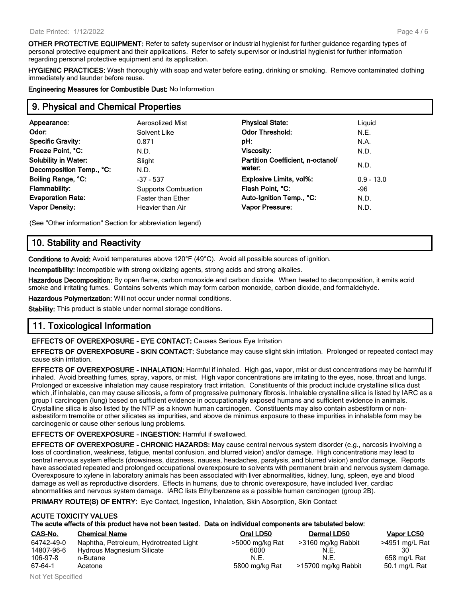**OTHER PROTECTIVE EQUIPMENT:** Refer to safety supervisor or industrial hygienist for further guidance regarding types of personal protective equipment and their applications. Refer to safety supervisor or industrial hygienist for further information regarding personal protective equipment and its application.

**HYGIENIC PRACTICES:** Wash thoroughly with soap and water before eating, drinking or smoking. Remove contaminated clothing immediately and launder before reuse.

**Engineering Measures for Combustible Dust:** No Information

# **9. Physical and Chemical Properties**

| Appearance:                 | Aerosolized Mist           | <b>Physical State:</b>            | Liguid       |
|-----------------------------|----------------------------|-----------------------------------|--------------|
|                             |                            |                                   |              |
| Odor:                       | Solvent Like               | <b>Odor Threshold:</b>            | N.E.         |
| <b>Specific Gravity:</b>    | 0.871                      | pH:                               | N.A.         |
| Freeze Point, °C:           | N.D.                       | <b>Viscosity:</b>                 | N.D.         |
| <b>Solubility in Water:</b> | Slight                     | Partition Coefficient, n-octanol/ |              |
| Decomposition Temp., °C:    | N.D.                       | water:                            | N.D.         |
| Boiling Range, °C:          | $-37 - 537$                | <b>Explosive Limits, vol%:</b>    | $0.9 - 13.0$ |
| <b>Flammability:</b>        | <b>Supports Combustion</b> | Flash Point, °C:                  | -96          |
| <b>Evaporation Rate:</b>    | <b>Faster than Ether</b>   | Auto-Ignition Temp., °C:          | N.D.         |
| <b>Vapor Density:</b>       | Heavier than Air           | Vapor Pressure:                   | N.D.         |
|                             |                            |                                   |              |

(See "Other information" Section for abbreviation legend)

# **10. Stability and Reactivity**

**Conditions to Avoid:** Avoid temperatures above 120°F (49°C). Avoid all possible sources of ignition.

**Incompatibility:** Incompatible with strong oxidizing agents, strong acids and strong alkalies.

**Hazardous Decomposition:** By open flame, carbon monoxide and carbon dioxide. When heated to decomposition, it emits acrid smoke and irritating fumes. Contains solvents which may form carbon monoxide, carbon dioxide, and formaldehyde.

**Hazardous Polymerization:** Will not occur under normal conditions.

**Stability:** This product is stable under normal storage conditions.

# **11. Toxicological Information**

**EFFECTS OF OVEREXPOSURE - EYE CONTACT:** Causes Serious Eye Irritation

**EFFECTS OF OVEREXPOSURE - SKIN CONTACT:** Substance may cause slight skin irritation. Prolonged or repeated contact may cause skin irritation.

**EFFECTS OF OVEREXPOSURE - INHALATION:** Harmful if inhaled. High gas, vapor, mist or dust concentrations may be harmful if inhaled. Avoid breathing fumes, spray, vapors, or mist. High vapor concentrations are irritating to the eyes, nose, throat and lungs. Prolonged or excessive inhalation may cause respiratory tract irritation. Constituents of this product include crystalline silica dust which ,if inhalable, can may cause silicosis, a form of progressive pulmonary fibrosis. Inhalable crystalline silica is listed by IARC as a group I carcinogen (lung) based on sufficient evidence in occupationally exposed humans and sufficient evidence in animals. Crystalline silica is also listed by the NTP as a known human carcinogen. Constituents may also contain asbestiform or nonasbestiform tremolite or other silicates as impurities, and above de minimus exposure to these impurities in inhalable form may be carcinogenic or cause other serious lung problems.

#### **EFFECTS OF OVEREXPOSURE - INGESTION:** Harmful if swallowed.

**EFFECTS OF OVEREXPOSURE - CHRONIC HAZARDS:** May cause central nervous system disorder (e.g., narcosis involving a loss of coordination, weakness, fatigue, mental confusion, and blurred vision) and/or damage. High concentrations may lead to central nervous system effects (drowsiness, dizziness, nausea, headaches, paralysis, and blurred vision) and/or damage. Reports have associated repeated and prolonged occupational overexposure to solvents with permanent brain and nervous system damage. Overexposure to xylene in laboratory animals has been associated with liver abnormalities, kidney, lung, spleen, eye and blood damage as well as reproductive disorders. Effects in humans, due to chronic overexposure, have included liver, cardiac abnormalities and nervous system damage. IARC lists Ethylbenzene as a possible human carcinogen (group 2B).

**PRIMARY ROUTE(S) OF ENTRY:** Eye Contact, Ingestion, Inhalation, Skin Absorption, Skin Contact

|            | <b>ACUTE TOXICITY VALUES</b>                                                                               |                                               |             |              |
|------------|------------------------------------------------------------------------------------------------------------|-----------------------------------------------|-------------|--------------|
|            | The acute effects of this product have not been tested. Data on individual components are tabulated below: |                                               |             |              |
| CAS-No.    | <b>Chemical Name</b>                                                                                       | Oral LD50                                     | Dermal LD50 | Vapor LC50   |
| 0.1710 100 | Alexandra Demolectic Holdschung and Historic                                                               | $\sim$ FOOD $\sim$ $\sim$ 4 $\sim$ D $\sim$ 4 |             | $1074 - 107$ |

| 64742-49-0 | Naphtha, Petroleum, Hydrotreated Light | >5000 mg/kg Rat | >3160 mg/kg Rabbit  | >4951 mg/L Rat |
|------------|----------------------------------------|-----------------|---------------------|----------------|
| 14807-96-6 | Hydrous Magnesium Silicate             | 6000            | N.E                 | 30             |
| 106-97-8   | n-Butane                               | N.E.            | N.E.                | 658 mg/L Rat   |
| 67-64-1    | Acetone                                | 5800 mg/kg Rat  | >15700 mg/kg Rabbit | 50.1 mg/L Rat  |

| Oral LD50       | Dermal LD50         | Vap               |
|-----------------|---------------------|-------------------|
| ∙5000 mg/kg Rat | >3160 mg/kg Rabbit  | >4951             |
| 6000            | N.F.                |                   |
| N.F.            | N.F.                | 658 r             |
| 5800 mg/kg Rat  | >15700 mg/kg Rabbit | 50.1 <sub>1</sub> |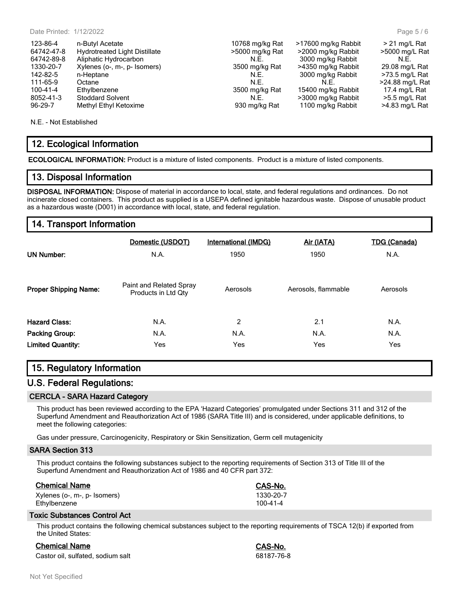| 123-86-4   | n-Butyl Acetate                      | 10768 mg/kg Rat | >17600 mg/kg Rabbit | $>$ 21 mg/L Rat  |
|------------|--------------------------------------|-----------------|---------------------|------------------|
| 64742-47-8 | <b>Hydrotreated Light Distillate</b> | >5000 mg/kg Rat | >2000 mg/kg Rabbit  | >5000 mg/L Rat   |
| 64742-89-8 | Aliphatic Hydrocarbon                | N.E.            | 3000 mg/kg Rabbit   | N.E.             |
| 1330-20-7  | Xylenes (o-, m-, p- Isomers)         | 3500 mg/kg Rat  | >4350 mg/kg Rabbit  | 29.08 mg/L Rat   |
| 142-82-5   | n-Heptane                            | N.E.            | 3000 mg/kg Rabbit   | $>73.5$ mg/L Rat |
| 111-65-9   | Octane                               | N.E.            | N.F.                | >24.88 mg/L Rat  |
| 100-41-4   | Ethylbenzene                         | 3500 mg/kg Rat  | 15400 mg/kg Rabbit  | 17.4 mg/L Rat    |
| 8052-41-3  | <b>Stoddard Solvent</b>              | N.E.            | >3000 mg/kg Rabbit  | $>5.5$ mg/L Rat  |
| 96-29-7    | Methyl Ethyl Ketoxime                | 930 mg/kg Rat   | 1100 mg/kg Rabbit   | $>4.83$ mg/L Rat |
|            |                                      |                 |                     |                  |

N.E. - Not Established

# **12. Ecological Information**

**ECOLOGICAL INFORMATION:** Product is a mixture of listed components. Product is a mixture of listed components.

#### **13. Disposal Information**

**DISPOSAL INFORMATION:** Dispose of material in accordance to local, state, and federal regulations and ordinances. Do not incinerate closed containers. This product as supplied is a USEPA defined ignitable hazardous waste. Dispose of unusable product as a hazardous waste (D001) in accordance with local, state, and federal regulation.

#### **14. Transport Information**

| <b>UN Number:</b>            | Domestic (USDOT)<br>N.A.                       | <b>International (IMDG)</b><br>1950 | Air (IATA)<br>1950  | <b>TDG (Canada)</b><br>N.A. |  |
|------------------------------|------------------------------------------------|-------------------------------------|---------------------|-----------------------------|--|
| <b>Proper Shipping Name:</b> | Paint and Related Spray<br>Products in Ltd Qty | Aerosols                            | Aerosols, flammable | Aerosols                    |  |
| <b>Hazard Class:</b>         | N.A.                                           | 2                                   | 2.1                 | N.A.                        |  |
| Packing Group:               | N.A.                                           | N.A.                                | N.A.                | N.A.                        |  |
| <b>Limited Quantity:</b>     | Yes                                            | Yes                                 | Yes                 | Yes                         |  |

# **15. Regulatory Information**

#### **U.S. Federal Regulations:**

#### **CERCLA - SARA Hazard Category**

This product has been reviewed according to the EPA 'Hazard Categories' promulgated under Sections 311 and 312 of the Superfund Amendment and Reauthorization Act of 1986 (SARA Title III) and is considered, under applicable definitions, to meet the following categories:

Gas under pressure, Carcinogenicity, Respiratory or Skin Sensitization, Germ cell mutagenicity

#### **SARA Section 313**

This product contains the following substances subject to the reporting requirements of Section 313 of Title III of the Superfund Amendment and Reauthorization Act of 1986 and 40 CFR part 372:

| <b>Chemical Name</b>         | CAS-No.        |
|------------------------------|----------------|
| Xylenes (o-, m-, p- Isomers) | 1330-20-7      |
| Ethylbenzene                 | $100 - 41 - 4$ |

#### **Toxic Substances Control Act**

This product contains the following chemical substances subject to the reporting requirements of TSCA 12(b) if exported from the United States:

# **Chemical Name CAS-No.**

Castor oil, sulfated, sodium salt 68187-76-8